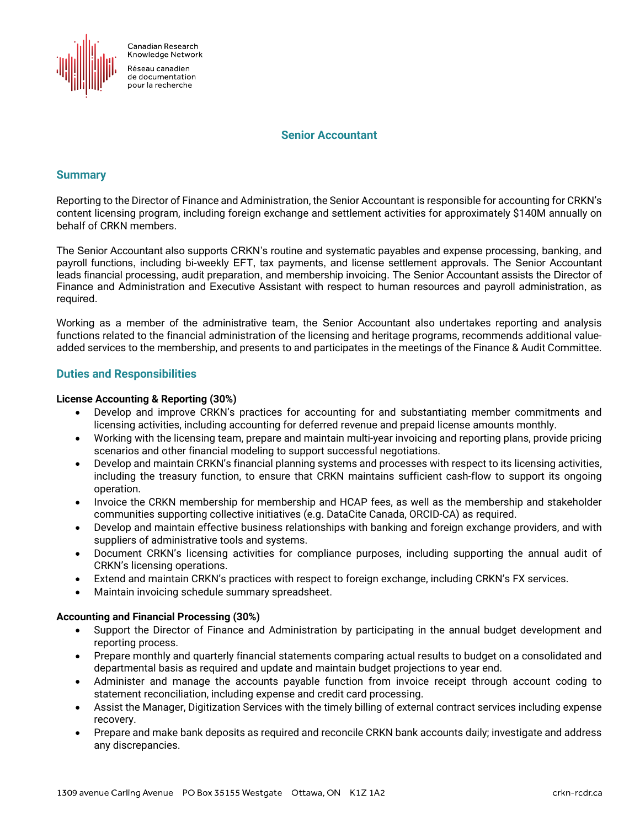

Canadian Research Knowledge Network

Réseau canadien de documentation pour la recherche

### **Senior Accountant**

# **Summary**

Reporting to the Director of Finance and Administration, the Senior Accountant is responsible for accounting for CRKN's content licensing program, including foreign exchange and settlement activities for approximately \$140M annually on behalf of CRKN members.

The Senior Accountant also supports CRKN's routine and systematic payables and expense processing, banking, and payroll functions, including bi-weekly EFT, tax payments, and license settlement approvals. The Senior Accountant leads financial processing, audit preparation, and membership invoicing. The Senior Accountant assists the Director of Finance and Administration and Executive Assistant with respect to human resources and payroll administration, as required.

Working as a member of the administrative team, the Senior Accountant also undertakes reporting and analysis functions related to the financial administration of the licensing and heritage programs, recommends additional valueadded services to the membership, and presents to and participates in the meetings of the Finance & Audit Committee.

# **Duties and Responsibilities**

#### **License Accounting & Reporting (30%)**

- Develop and improve CRKN's practices for accounting for and substantiating member commitments and licensing activities, including accounting for deferred revenue and prepaid license amounts monthly.
- Working with the licensing team, prepare and maintain multi-year invoicing and reporting plans, provide pricing scenarios and other financial modeling to support successful negotiations.
- Develop and maintain CRKN's financial planning systems and processes with respect to its licensing activities, including the treasury function, to ensure that CRKN maintains sufficient cash-flow to support its ongoing operation.
- Invoice the CRKN membership for membership and HCAP fees, as well as the membership and stakeholder communities supporting collective initiatives (e.g. DataCite Canada, ORCID-CA) as required.
- Develop and maintain effective business relationships with banking and foreign exchange providers, and with suppliers of administrative tools and systems.
- Document CRKN's licensing activities for compliance purposes, including supporting the annual audit of CRKN's licensing operations.
- Extend and maintain CRKN's practices with respect to foreign exchange, including CRKN's FX services.
- Maintain invoicing schedule summary spreadsheet.

#### **Accounting and Financial Processing (30%)**

- Support the Director of Finance and Administration by participating in the annual budget development and reporting process.
- Prepare monthly and quarterly financial statements comparing actual results to budget on a consolidated and departmental basis as required and update and maintain budget projections to year end.
- Administer and manage the accounts payable function from invoice receipt through account coding to statement reconciliation, including expense and credit card processing.
- Assist the Manager, Digitization Services with the timely billing of external contract services including expense recovery.
- Prepare and make bank deposits as required and reconcile CRKN bank accounts daily; investigate and address any discrepancies.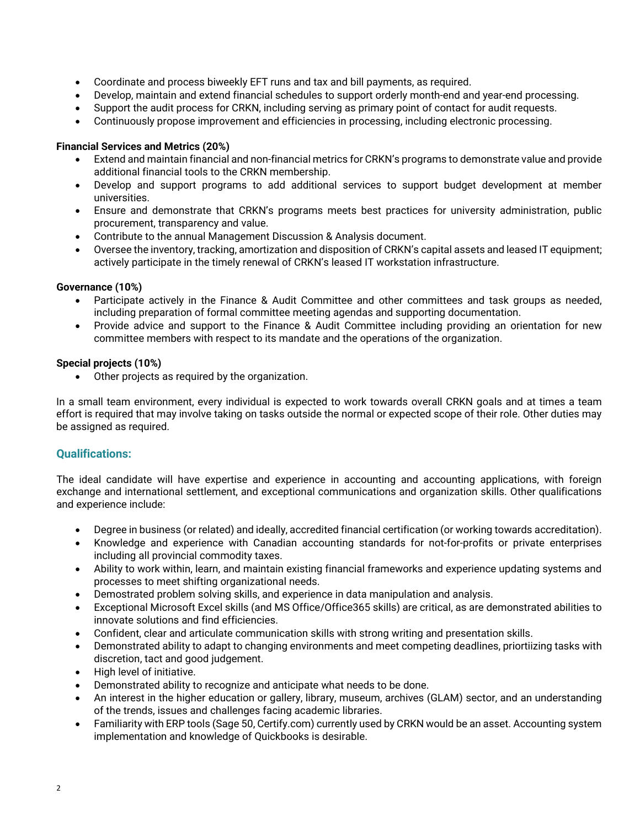- Coordinate and process biweekly EFT runs and tax and bill payments, as required.
- Develop, maintain and extend financial schedules to support orderly month-end and year-end processing.
- Support the audit process for CRKN, including serving as primary point of contact for audit requests.
- Continuously propose improvement and efficiencies in processing, including electronic processing.

## **Financial Services and Metrics (20%)**

- Extend and maintain financial and non-financial metrics for CRKN's programs to demonstrate value and provide additional financial tools to the CRKN membership.
- Develop and support programs to add additional services to support budget development at member universities.
- Ensure and demonstrate that CRKN's programs meets best practices for university administration, public procurement, transparency and value.
- Contribute to the annual Management Discussion & Analysis document.
- Oversee the inventory, tracking, amortization and disposition of CRKN's capital assets and leased IT equipment; actively participate in the timely renewal of CRKN's leased IT workstation infrastructure.

# **Governance (10%)**

- Participate actively in the Finance & Audit Committee and other committees and task groups as needed, including preparation of formal committee meeting agendas and supporting documentation.
- Provide advice and support to the Finance & Audit Committee including providing an orientation for new committee members with respect to its mandate and the operations of the organization.

## **Special projects (10%)**

• Other projects as required by the organization.

In a small team environment, every individual is expected to work towards overall CRKN goals and at times a team effort is required that may involve taking on tasks outside the normal or expected scope of their role. Other duties may be assigned as required.

# **Qualifications:**

The ideal candidate will have expertise and experience in accounting and accounting applications, with foreign exchange and international settlement, and exceptional communications and organization skills. Other qualifications and experience include:

- Degree in business (or related) and ideally, accredited financial certification (or working towards accreditation).
- Knowledge and experience with Canadian accounting standards for not-for-profits or private enterprises including all provincial commodity taxes.
- Ability to work within, learn, and maintain existing financial frameworks and experience updating systems and processes to meet shifting organizational needs.
- Demostrated problem solving skills, and experience in data manipulation and analysis.
- Exceptional Microsoft Excel skills (and MS Office/Office365 skills) are critical, as are demonstrated abilities to innovate solutions and find efficiencies.
- Confident, clear and articulate communication skills with strong writing and presentation skills.
- Demonstrated ability to adapt to changing environments and meet competing deadlines, priortiizing tasks with discretion, tact and good judgement.
- High level of initiative.
- Demonstrated ability to recognize and anticipate what needs to be done.
- An interest in the higher education or gallery, library, museum, archives (GLAM) sector, and an understanding of the trends, issues and challenges facing academic libraries.
- Familiarity with ERP tools (Sage 50, Certify.com) currently used by CRKN would be an asset. Accounting system implementation and knowledge of Quickbooks is desirable.